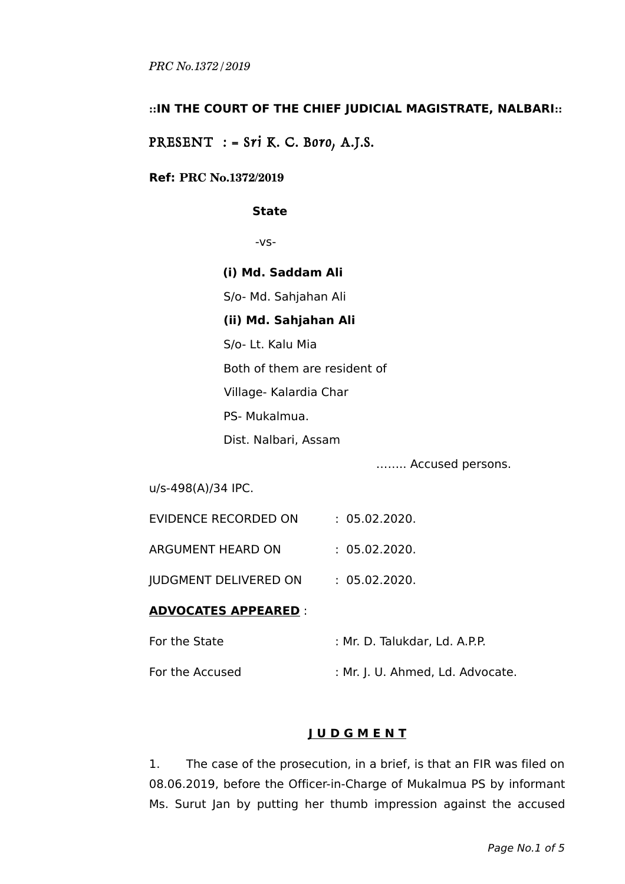## **::IN THE COURT OF THE CHIEF JUDICIAL MAGISTRATE, NALBARI::**

# PRESENT  $:$  = Sri K. C. Boro, A.J.S.

### **Ref: PRC No.1372/2019**

#### **State**

-vs-

**(i) Md. Saddam Ali**

S/o- Md. Sahjahan Ali

## **(ii) Md. Sahjahan Ali**

S/o- Lt. Kalu Mia

Both of them are resident of

Village- Kalardia Char

PS- Mukalmua.

Dist. Nalbari, Assam

…….. Accused persons.

u/s-498(A)/34 IPC.

| EVIDENCE RECORDED ON | : 05.02.2020. |
|----------------------|---------------|
|                      |               |

ARGUMENT HEARD ON : 05.02.2020.

JUDGMENT DELIVERED ON : 05.02.2020.

### **ADVOCATES APPEARED** :

| For the State   | : Mr. D. Talukdar, Ld. A.P.P.    |
|-----------------|----------------------------------|
| For the Accused | : Mr. J. U. Ahmed, Ld. Advocate. |

# **J U D G M E N T**

1. The case of the prosecution, in a brief, is that an FIR was filed on 08.06.2019, before the Officer-in-Charge of Mukalmua PS by informant Ms. Surut Jan by putting her thumb impression against the accused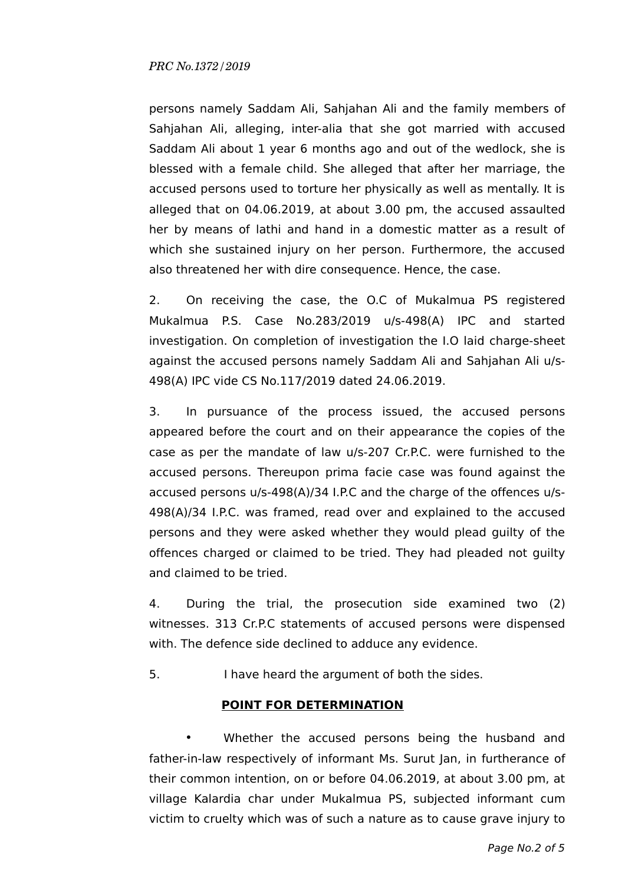### *PRC No.1372/2019*

persons namely Saddam Ali, Sahjahan Ali and the family members of Sahjahan Ali, alleging, inter-alia that she got married with accused Saddam Ali about 1 year 6 months ago and out of the wedlock, she is blessed with a female child. She alleged that after her marriage, the accused persons used to torture her physically as well as mentally. It is alleged that on 04.06.2019, at about 3.00 pm, the accused assaulted her by means of lathi and hand in a domestic matter as a result of which she sustained injury on her person. Furthermore, the accused also threatened her with dire consequence. Hence, the case.

2. On receiving the case, the O.C of Mukalmua PS registered Mukalmua P.S. Case No.283/2019 u/s-498(A) IPC and started investigation. On completion of investigation the I.O laid charge-sheet against the accused persons namely Saddam Ali and Sahjahan Ali u/s-498(A) IPC vide CS No.117/2019 dated 24.06.2019.

3. In pursuance of the process issued, the accused persons appeared before the court and on their appearance the copies of the case as per the mandate of law u/s-207 Cr.P.C. were furnished to the accused persons. Thereupon prima facie case was found against the accused persons u/s-498(A)/34 I.P.C and the charge of the offences u/s-498(A)/34 I.P.C. was framed, read over and explained to the accused persons and they were asked whether they would plead guilty of the offences charged or claimed to be tried. They had pleaded not guilty and claimed to be tried.

4. During the trial, the prosecution side examined two (2) witnesses. 313 Cr.P.C statements of accused persons were dispensed with. The defence side declined to adduce any evidence.

5. I have heard the argument of both the sides.

### **POINT FOR DETERMINATION**

Whether the accused persons being the husband and father-in-law respectively of informant Ms. Surut Jan, in furtherance of their common intention, on or before 04.06.2019, at about 3.00 pm, at village Kalardia char under Mukalmua PS, subjected informant cum victim to cruelty which was of such a nature as to cause grave injury to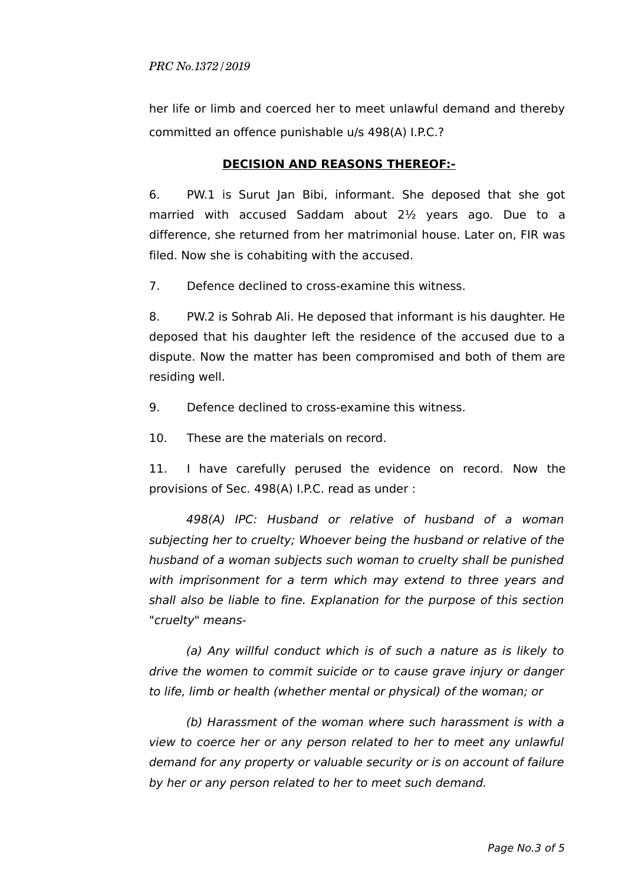her life or limb and coerced her to meet unlawful demand and thereby committed an offence punishable u/s 498(A) I.P.C.?

# **DECISION AND REASONS THEREOF:-**

6. PW.1 is Surut Jan Bibi, informant. She deposed that she got married with accused Saddam about 2½ years ago. Due to a difference, she returned from her matrimonial house. Later on, FIR was filed. Now she is cohabiting with the accused.

7. Defence declined to cross-examine this witness.

8. PW.2 is Sohrab Ali. He deposed that informant is his daughter. He deposed that his daughter left the residence of the accused due to a dispute. Now the matter has been compromised and both of them are residing well.

9. Defence declined to cross-examine this witness.

10. These are the materials on record.

11. I have carefully perused the evidence on record. Now the provisions of Sec. 498(A) I.P.C. read as under :

498(A) IPC: Husband or relative of husband of a woman subjecting her to cruelty; Whoever being the husband or relative of the husband of a woman subjects such woman to cruelty shall be punished with imprisonment for a term which may extend to three years and shall also be liable to fine. Explanation for the purpose of this section "cruelty" means-

(a) Any willful conduct which is of such a nature as is likely to drive the women to commit suicide or to cause grave injury or danger to life, limb or health (whether mental or physical) of the woman; or

(b) Harassment of the woman where such harassment is with a view to coerce her or any person related to her to meet any unlawful demand for any property or valuable security or is on account of failure by her or any person related to her to meet such demand.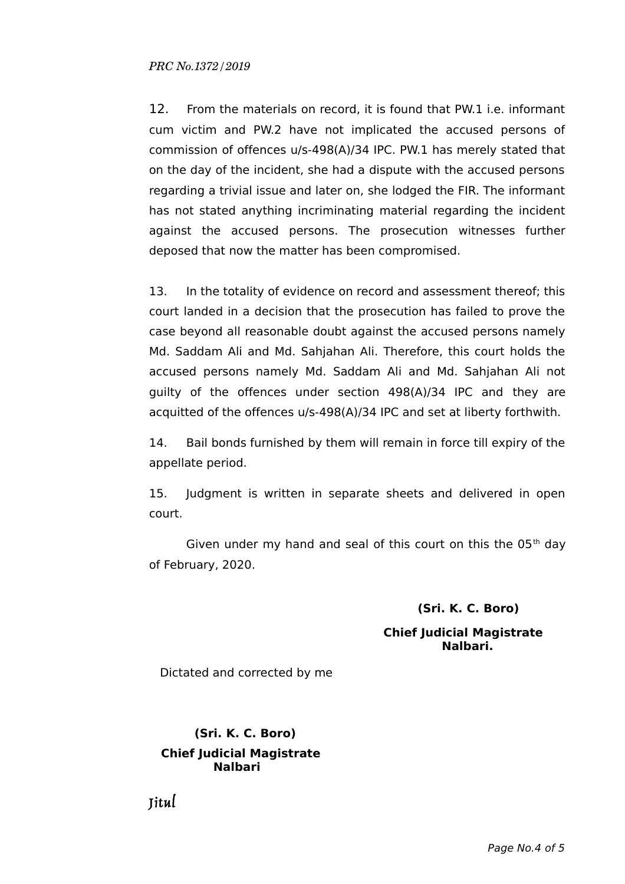### *PRC No.1372/2019*

12. From the materials on record, it is found that PW.1 i.e. informant cum victim and PW.2 have not implicated the accused persons of commission of offences u/s-498(A)/34 IPC. PW.1 has merely stated that on the day of the incident, she had a dispute with the accused persons regarding a trivial issue and later on, she lodged the FIR. The informant has not stated anything incriminating material regarding the incident against the accused persons. The prosecution witnesses further deposed that now the matter has been compromised.

13. In the totality of evidence on record and assessment thereof; this court landed in a decision that the prosecution has failed to prove the case beyond all reasonable doubt against the accused persons namely Md. Saddam Ali and Md. Sahjahan Ali. Therefore, this court holds the accused persons namely Md. Saddam Ali and Md. Sahjahan Ali not guilty of the offences under section 498(A)/34 IPC and they are acquitted of the offences u/s-498(A)/34 IPC and set at liberty forthwith.

14. Bail bonds furnished by them will remain in force till expiry of the appellate period.

15. Judgment is written in separate sheets and delivered in open court.

Given under my hand and seal of this court on this the  $05<sup>th</sup>$  day of February, 2020.

#### **(Sri. K. C. Boro)**

### **Chief Judicial Magistrate Nalbari.**

Dictated and corrected by me

# **(Sri. K. C. Boro) Chief Judicial Magistrate Nalbari**

Jitul